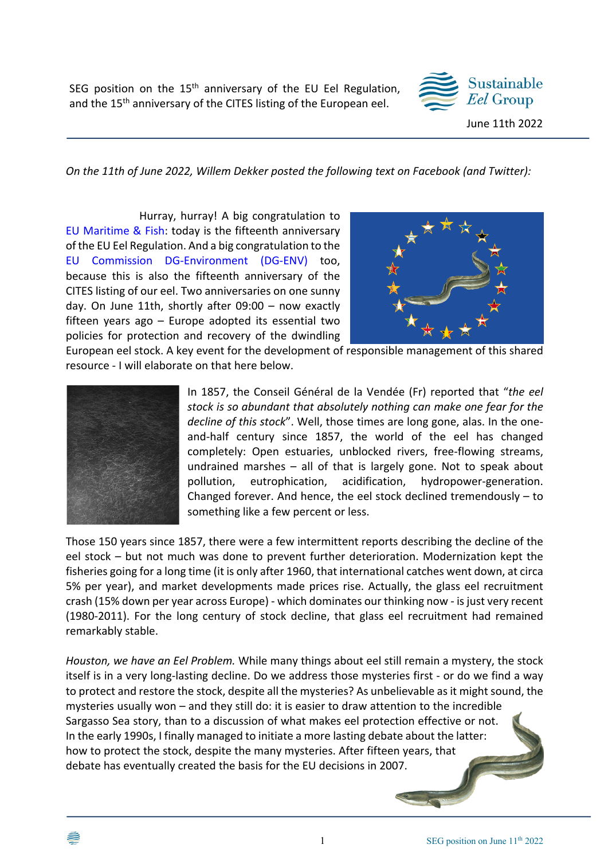SEG position on the 15<sup>th</sup> anniversary of the EU Eel Regulation, and the 15<sup>th</sup> anniversary of the CITES listing of the European eel.



*On the 11th of June 2022, Willem Dekker posted the following text on Facebook (and Twitter):*

Hurray, hurray! A big congratulation to EU Maritime & Fish: today is the fifteenth anniversary of the EU Eel Regulation. And a big congratulation to the EU Commission DG-Environment (DG-ENV) too, because this is also the fifteenth anniversary of the CITES listing of our eel. Two anniversaries on one sunny day. On June 11th, shortly after 09:00 – now exactly fifteen years ago – Europe adopted its essential two policies for protection and recovery of the dwindling



European eel stock. A key event for the development of responsible management of this shared resource - I will elaborate on that here below.



In 1857, the Conseil Général de la Vendée (Fr) reported that "*the eel stock is so abundant that absolutely nothing can make one fear for the decline of this stock*". Well, those times are long gone, alas. In the oneand-half century since 1857, the world of the eel has changed completely: Open estuaries, unblocked rivers, free-flowing streams, undrained marshes – all of that is largely gone. Not to speak about pollution, eutrophication, acidification, hydropower-generation. Changed forever. And hence, the eel stock declined tremendously – to something like a few percent or less.

Those 150 years since 1857, there were a few intermittent reports describing the decline of the eel stock – but not much was done to prevent further deterioration. Modernization kept the fisheries going for a long time (it is only after 1960, that international catches went down, at circa 5% per year), and market developments made prices rise. Actually, the glass eel recruitment crash (15% down per year across Europe) - which dominates our thinking now - is just very recent (1980-2011). For the long century of stock decline, that glass eel recruitment had remained remarkably stable.

*Houston, we have an Eel Problem.* While many things about eel still remain a mystery, the stock itself is in a very long-lasting decline. Do we address those mysteries first - or do we find a way to protect and restore the stock, despite all the mysteries? As unbelievable as it might sound, the mysteries usually won – and they still do: it is easier to draw attention to the incredible Sargasso Sea story, than to a discussion of what makes eel protection effective or not. In the early 1990s, I finally managed to initiate a more lasting debate about the latter: how to protect the stock, despite the many mysteries. After fifteen years, that debate has eventually created the basis for the EU decisions in 2007.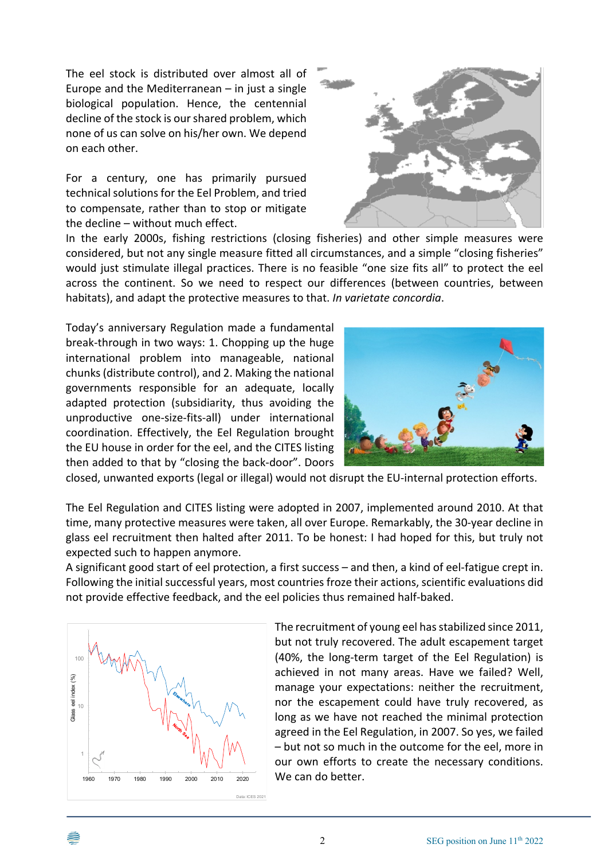The eel stock is distributed over almost all of Europe and the Mediterranean  $-$  in just a single biological population. Hence, the centennial decline of the stock is our shared problem, which none of us can solve on his/her own. We depend on each other.

For a century, one has primarily pursued technical solutions for the Eel Problem, and tried to compensate, rather than to stop or mitigate the decline – without much effect.



In the early 2000s, fishing restrictions (closing fisheries) and other simple measures were considered, but not any single measure fitted all circumstances, and a simple "closing fisheries" would just stimulate illegal practices. There is no feasible "one size fits all" to protect the eel across the continent. So we need to respect our differences (between countries, between habitats), and adapt the protective measures to that. *In varietate concordia*.

Today's anniversary Regulation made a fundamental break-through in two ways: 1. Chopping up the huge international problem into manageable, national chunks (distribute control), and 2. Making the national governments responsible for an adequate, locally adapted protection (subsidiarity, thus avoiding the unproductive one-size-fits-all) under international coordination. Effectively, the Eel Regulation brought the EU house in order for the eel, and the CITES listing then added to that by "closing the back-door". Doors



closed, unwanted exports (legal or illegal) would not disrupt the EU-internal protection efforts.

The Eel Regulation and CITES listing were adopted in 2007, implemented around 2010. At that time, many protective measures were taken, all over Europe. Remarkably, the 30-year decline in glass eel recruitment then halted after 2011. To be honest: I had hoped for this, but truly not expected such to happen anymore.

A significant good start of eel protection, a first success – and then, a kind of eel-fatigue crept in. Following the initial successful years, most countries froze their actions, scientific evaluations did not provide effective feedback, and the eel policies thus remained half-baked.



The recruitment of young eel has stabilized since 2011, but not truly recovered. The adult escapement target (40%, the long-term target of the Eel Regulation) is achieved in not many areas. Have we failed? Well, manage your expectations: neither the recruitment, nor the escapement could have truly recovered, as long as we have not reached the minimal protection agreed in the Eel Regulation, in 2007. So yes, we failed – but not so much in the outcome for the eel, more in our own efforts to create the necessary conditions.